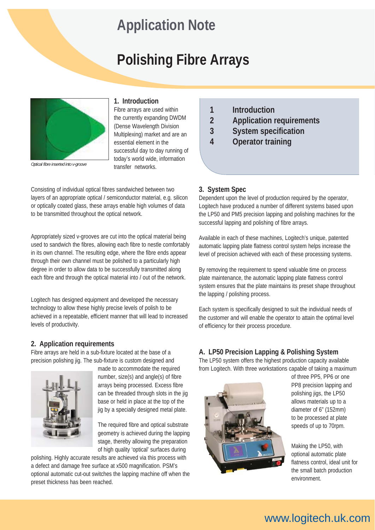# **Application Note**

# **Polishing Fibre Arrays**



*Optical fibre inserted into v-groove*

## **1. Introduction**

Fibre arrays are used within the currently expanding DWDM (Dense Wavelength Division Multiplexing) market and are an essential element in the successful day to day running of today's world wide, information transfer networks.

Consisting of individual optical fibres sandwiched between two layers of an appropriate optical / semiconductor material, e.g. silicon or optically coated glass, these arrays enable high volumes of data to be transmitted throughout the optical network.

Appropriately sized v-grooves are cut into the optical material being used to sandwich the fibres, allowing each fibre to nestle comfortably in its own channel. The resulting edge, where the fibre ends appear through their own channel must be polished to a particularly high degree in order to allow data to be successfully transmitted along each fibre and through the optical material into / out of the network.

Logitech has designed equipment and developed the necessary technology to allow these highly precise levels of polish to be achieved in a repeatable, efficient manner that will lead to increased levels of productivity.

## **2. Application requirements**

Fibre arrays are held in a sub-fixture located at the base of a precision polishing jig. The sub-fixture is custom designed and



made to accommodate the required number, size(s) and angle(s) of fibre arrays being processed. Excess fibre can be threaded through slots in the jig base or held in place at the top of the jig by a specially designed metal plate.

The required fibre and optical substrate geometry is achieved during the lapping stage, thereby allowing the preparation of high quality 'optical' surfaces during

polishing. Highly accurate results are achieved via this process with a defect and damage free surface at x500 magnification. PSM's optional automatic cut-out switches the lapping machine off when the preset thickness has been reached.

- **1 Introduction**
- **2 Application requirements**
- **3 System specification**
- **4 Operator training**

## **3. System Spec**

Dependent upon the level of production required by the operator, Logitech have produced a number of different systems based upon the LP50 and PM5 precision lapping and polishing machines for the successful lapping and polishing of fibre arrays.

Available in each of these machines, Logitech's unique, patented automatic lapping plate flatness control system helps increase the level of precision achieved with each of these processing systems.

By removing the requirement to spend valuable time on process plate maintenance, the automatic lapping plate flatness control system ensures that the plate maintains its preset shape throughout the lapping / polishing process.

Each system is specifically designed to suit the individual needs of the customer and will enable the operator to attain the optimal level of efficiency for their process procedure.

# **A. LP50 Precision Lapping & Polishing System**

The LP50 system offers the highest production capacity available from Logitech. With three workstations capable of taking a maximum



of three PP5, PP6 or one PP8 precision lapping and polishing jigs, the LP50 allows materials up to a diameter of 6" (152mm) to be processed at plate speeds of up to 70rpm.

Making the LP50, with optional automatic plate flatness control, ideal unit for the small batch production environment.

# www.logitech.uk.com